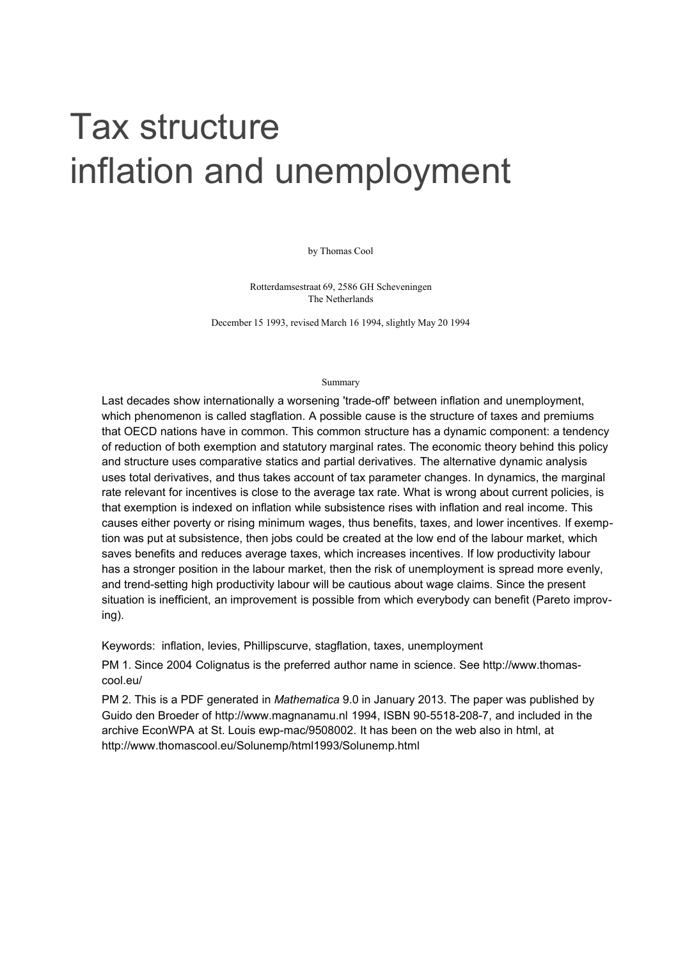# Tax structure inflation and unemployment

by Thomas Cool

Rotterdamsestraat 69, 2586 GH Scheveningen The Netherlands

December 15 1993, revised March 16 1994, slightly May 20 1994

#### Summary

Last decades show internationally a worsening 'trade-off' between inflation and unemployment, which phenomenon is called stagflation. A possible cause is the structure of taxes and premiums that OECD nations have in common. This common structure has a dynamic component: a tendency of reduction of both exemption and statutory marginal rates. The economic theory behind this policy and structure uses comparative statics and partial derivatives. The alternative dynamic analysis uses total derivatives, and thus takes account of tax parameter changes. In dynamics, the marginal rate relevant for incentives is close to the average tax rate. What is wrong about current policies, is that exemption is indexed on inflation while subsistence rises with inflation and real income. This causes either poverty or rising minimum wages, thus benefits, taxes, and lower incentives. If exemption was put at subsistence, then jobs could be created at the low end of the labour market, which saves benefits and reduces average taxes, which increases incentives. If low productivity labour has a stronger position in the labour market, then the risk of unemployment is spread more evenly, and trend-setting high productivity labour will be cautious about wage claims. Since the present situation is inefficient, an improvement is possible from which everybody can benefit (Pareto improving).

Keywords: inflation, levies, Phillipscurve, stagflation, taxes, unemployment

PM 1. Since 2004 Colignatus is the preferred author name in science. See http://www.thomascool.eu/

PM 2. This is a PDF generated in Mathematica 9.0 in January 2013. The paper was published by Guido den Broeder of http://www.magnanamu.nl 1994, ISBN 90-5518-208-7, and included in the archive EconWPA at St. Louis ewp-mac/9508002. It has been on the web also in html, at http://www.thomascool.eu/Solunemp/html1993/Solunemp.html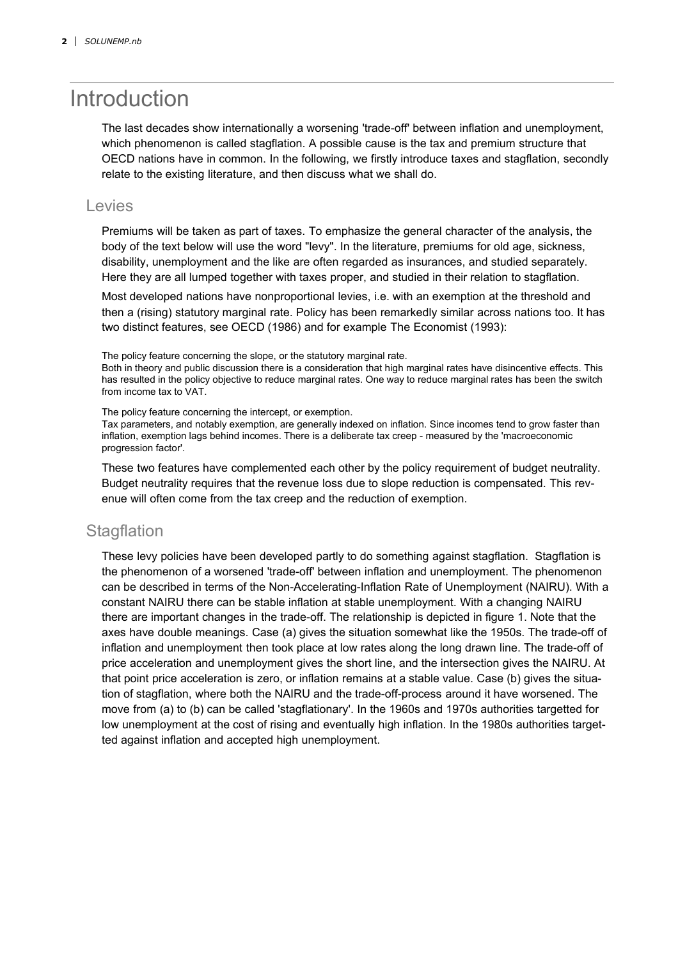## Introduction

The last decades show internationally a worsening 'trade-off' between inflation and unemployment, which phenomenon is called stagflation. A possible cause is the tax and premium structure that OECD nations have in common. In the following, we firstly introduce taxes and stagflation, secondly relate to the existing literature, and then discuss what we shall do.

#### Levies

Premiums will be taken as part of taxes. To emphasize the general character of the analysis, the body of the text below will use the word "levy". In the literature, premiums for old age, sickness, disability, unemployment and the like are often regarded as insurances, and studied separately. Here they are all lumped together with taxes proper, and studied in their relation to stagflation.

Most developed nations have nonproportional levies, i.e. with an exemption at the threshold and then a (rising) statutory marginal rate. Policy has been remarkedly similar across nations too. It has two distinct features, see OECD (1986) and for example The Economist (1993):

The policy feature concerning the slope, or the statutory marginal rate.

Both in theory and public discussion there is a consideration that high marginal rates have disincentive effects. This has resulted in the policy objective to reduce marginal rates. One way to reduce marginal rates has been the switch from income tax to VAT.

The policy feature concerning the intercept, or exemption.

Tax parameters, and notably exemption, are generally indexed on inflation. Since incomes tend to grow faster than inflation, exemption lags behind incomes. There is a deliberate tax creep - measured by the 'macroeconomic progression factor'.

These two features have complemented each other by the policy requirement of budget neutrality. Budget neutrality requires that the revenue loss due to slope reduction is compensated. This revenue will often come from the tax creep and the reduction of exemption.

#### **Stagflation**

These levy policies have been developed partly to do something against stagflation. Stagflation is the phenomenon of a worsened 'trade-off' between inflation and unemployment. The phenomenon can be described in terms of the Non-Accelerating-Inflation Rate of Unemployment (NAIRU). With a constant NAIRU there can be stable inflation at stable unemployment. With a changing NAIRU there are important changes in the trade-off. The relationship is depicted in figure 1. Note that the axes have double meanings. Case (a) gives the situation somewhat like the 1950s. The trade-off of inflation and unemployment then took place at low rates along the long drawn line. The trade-off of price acceleration and unemployment gives the short line, and the intersection gives the NAIRU. At that point price acceleration is zero, or inflation remains at a stable value. Case (b) gives the situation of stagflation, where both the NAIRU and the trade-off-process around it have worsened. The move from (a) to (b) can be called 'stagflationary'. In the 1960s and 1970s authorities targetted for low unemployment at the cost of rising and eventually high inflation. In the 1980s authorities targetted against inflation and accepted high unemployment.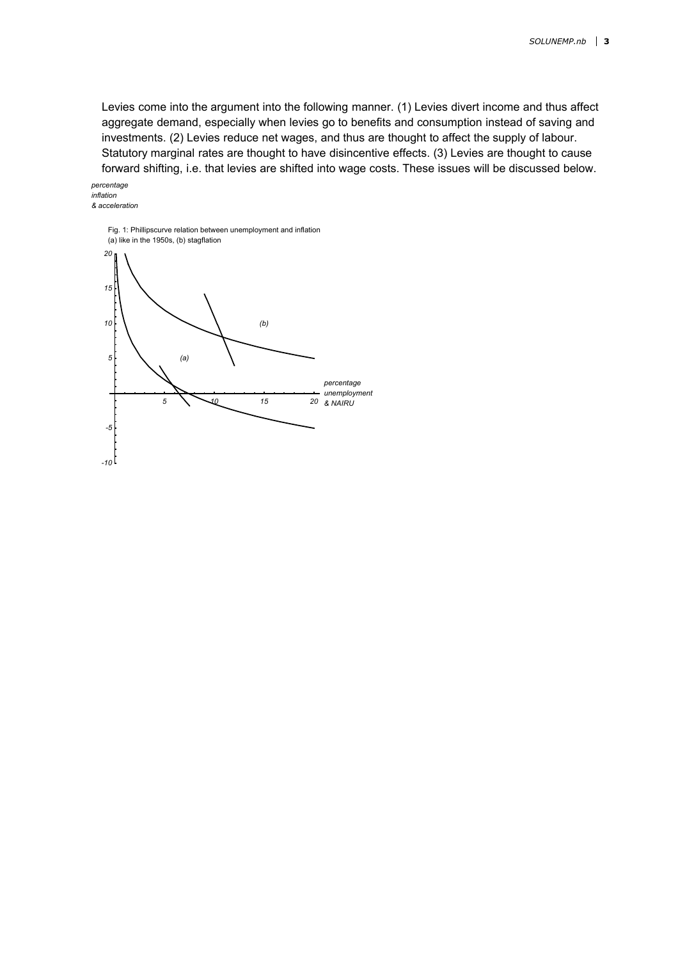Levies come into the argument into the following manner. (1) Levies divert income and thus affect aggregate demand, especially when levies go to benefits and consumption instead of saving and investments. (2) Levies reduce net wages, and thus are thought to affect the supply of labour. Statutory marginal rates are thought to have disincentive effects. (3) Levies are thought to cause forward shifting, i.e. that levies are shifted into wage costs. These issues will be discussed below.

#### & acceleration inflation percentage

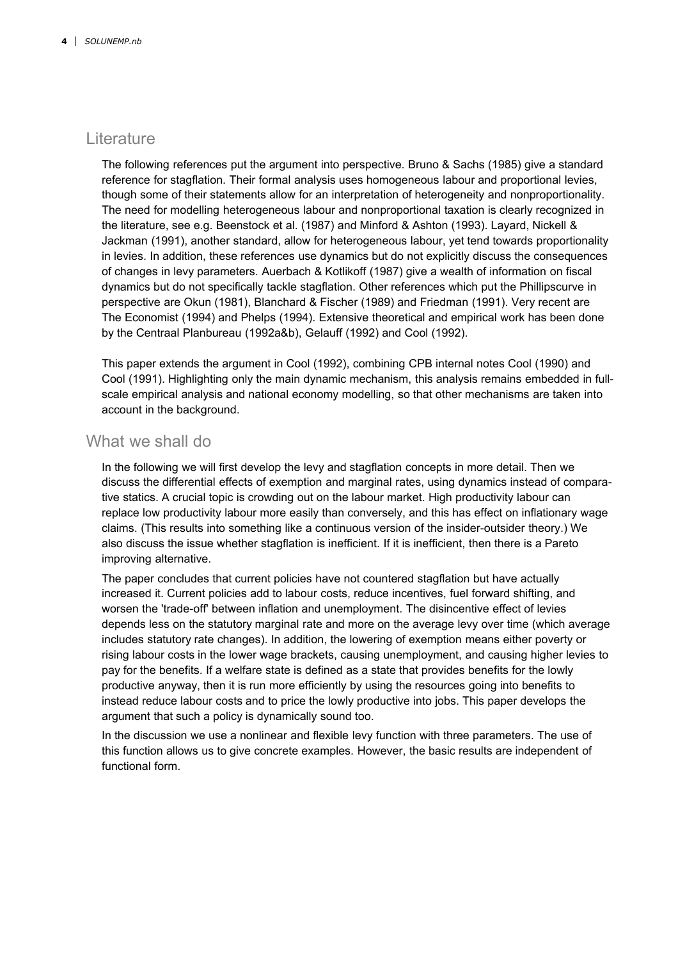#### **Literature**

The following references put the argument into perspective. Bruno & Sachs (1985) give a standard reference for stagflation. Their formal analysis uses homogeneous labour and proportional levies, though some of their statements allow for an interpretation of heterogeneity and nonproportionality. The need for modelling heterogeneous labour and nonproportional taxation is clearly recognized in the literature, see e.g. Beenstock et al. (1987) and Minford & Ashton (1993). Layard, Nickell & Jackman (1991), another standard, allow for heterogeneous labour, yet tend towards proportionality in levies. In addition, these references use dynamics but do not explicitly discuss the consequences of changes in levy parameters. Auerbach & Kotlikoff (1987) give a wealth of information on fiscal dynamics but do not specifically tackle stagflation. Other references which put the Phillipscurve in perspective are Okun (1981), Blanchard & Fischer (1989) and Friedman (1991). Very recent are The Economist (1994) and Phelps (1994). Extensive theoretical and empirical work has been done by the Centraal Planbureau (1992a&b), Gelauff (1992) and Cool (1992).

This paper extends the argument in Cool (1992), combining CPB internal notes Cool (1990) and Cool (1991). Highlighting only the main dynamic mechanism, this analysis remains embedded in fullscale empirical analysis and national economy modelling, so that other mechanisms are taken into account in the background.

#### What we shall do

In the following we will first develop the levy and stagflation concepts in more detail. Then we discuss the differential effects of exemption and marginal rates, using dynamics instead of comparative statics. A crucial topic is crowding out on the labour market. High productivity labour can replace low productivity labour more easily than conversely, and this has effect on inflationary wage claims. (This results into something like a continuous version of the insider-outsider theory.) We also discuss the issue whether stagflation is inefficient. If it is inefficient, then there is a Pareto improving alternative.

The paper concludes that current policies have not countered stagflation but have actually increased it. Current policies add to labour costs, reduce incentives, fuel forward shifting, and worsen the 'trade-off' between inflation and unemployment. The disincentive effect of levies depends less on the statutory marginal rate and more on the average levy over time (which average includes statutory rate changes). In addition, the lowering of exemption means either poverty or rising labour costs in the lower wage brackets, causing unemployment, and causing higher levies to pay for the benefits. If a welfare state is defined as a state that provides benefits for the lowly productive anyway, then it is run more efficiently by using the resources going into benefits to instead reduce labour costs and to price the lowly productive into jobs. This paper develops the argument that such a policy is dynamically sound too.

In the discussion we use a nonlinear and flexible levy function with three parameters. The use of this function allows us to give concrete examples. However, the basic results are independent of functional form.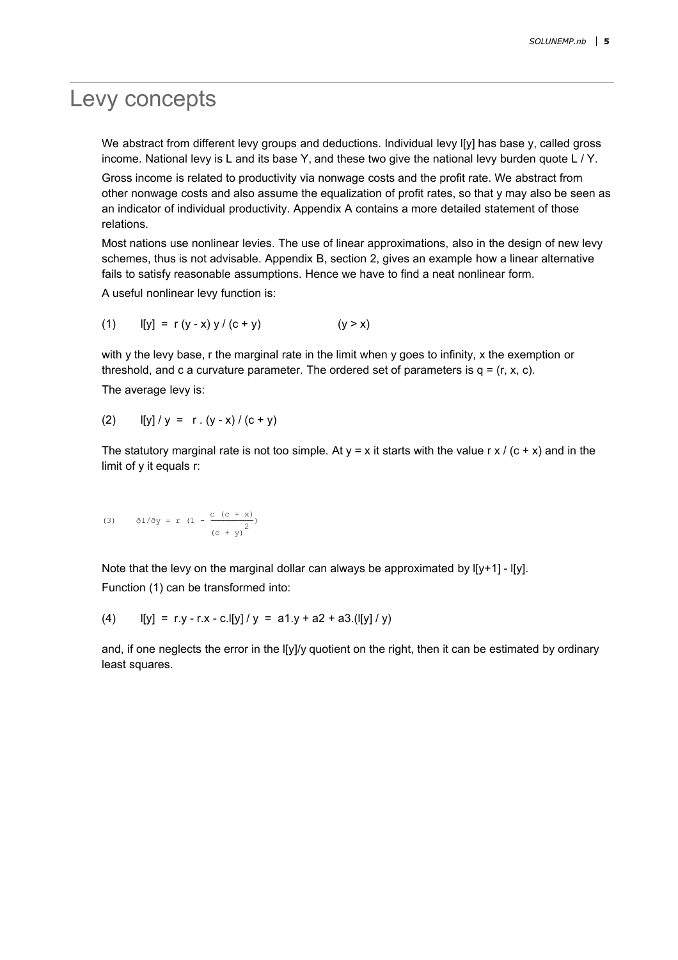#### Levy concepts

We abstract from different levy groups and deductions. Individual levy I[y] has base y, called gross income. National levy is L and its base Y, and these two give the national levy burden quote L / Y.

Gross income is related to productivity via nonwage costs and the profit rate. We abstract from other nonwage costs and also assume the equalization of profit rates, so that y may also be seen as an indicator of individual productivity. Appendix A contains a more detailed statement of those relations.

Most nations use nonlinear levies. The use of linear approximations, also in the design of new levy schemes, thus is not advisable. Appendix B, section 2, gives an example how a linear alternative fails to satisfy reasonable assumptions. Hence we have to find a neat nonlinear form.

A useful nonlinear levy function is:

(1) 
$$
I[y] = r (y - x) y / (c + y)
$$
 (y > x)

with y the levy base, r the marginal rate in the limit when y goes to infinity, x the exemption or threshold, and c a curvature parameter. The ordered set of parameters is  $q = (r, x, c)$ .

The average levy is:

(2) 
$$
[y]/y = r.(y-x)/(c+y)
$$

The statutory marginal rate is not too simple. At  $y = x$  it starts with the value r x / (c + x) and in the limit of y it equals r:

(3) 
$$
\delta l/\delta y = r (1 - \frac{c (c + x)}{(c + y)^2})
$$

Note that the levy on the marginal dollar can always be approximated by  $I[y+1]$  -  $I[y]$ . Function (1) can be transformed into:

(4) 
$$
[[y] = r.y - r.x - c.[y]/y = a1.y + a2 + a3.([[y]/y)
$$

and, if one neglects the error in the I[y]/y quotient on the right, then it can be estimated by ordinary least squares.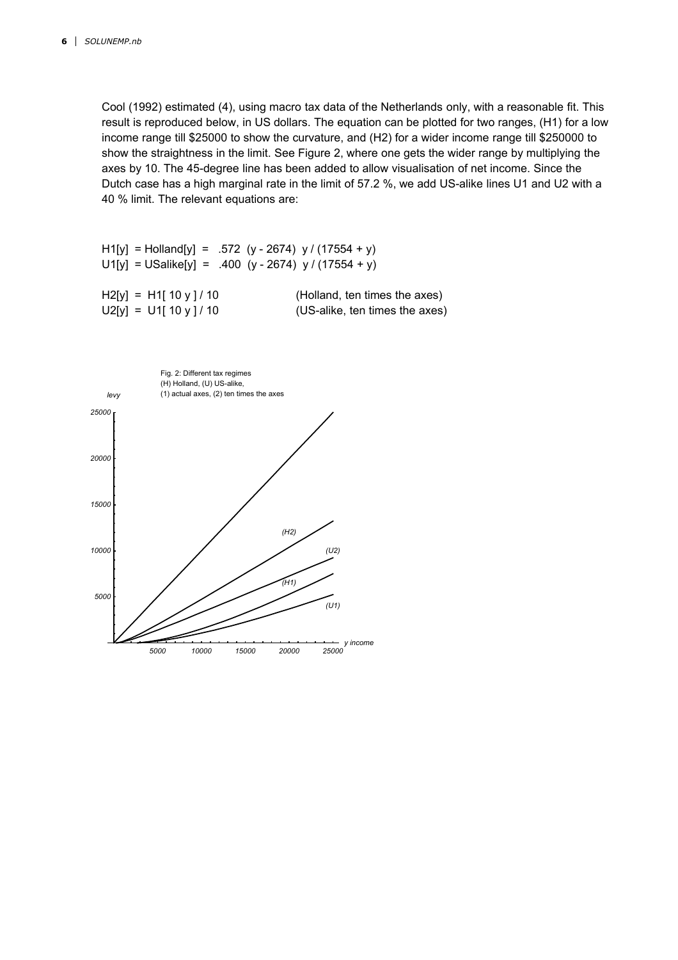Cool (1992) estimated (4), using macro tax data of the Netherlands only, with a reasonable fit. This result is reproduced below, in US dollars. The equation can be plotted for two ranges, (H1) for a low income range till \$25000 to show the curvature, and (H2) for a wider income range till \$250000 to show the straightness in the limit. See Figure 2, where one gets the wider range by multiplying the axes by 10. The 45-degree line has been added to allow visualisation of net income. Since the Dutch case has a high marginal rate in the limit of 57.2 %, we add US-alike lines U1 and U2 with a 40 % limit. The relevant equations are:

H1[y] = Holland[y] = .572 (y - 2674) y / (17554 + y)  $U1[y] = USalike[y] = .400 (y - 2674) y / (17554 + y)$  $H2[y] = H1[10 y]/10$  (Holland, ten times the axes)  $U2[y] = U1[10y]/10$  (US-alike, ten times the axes)

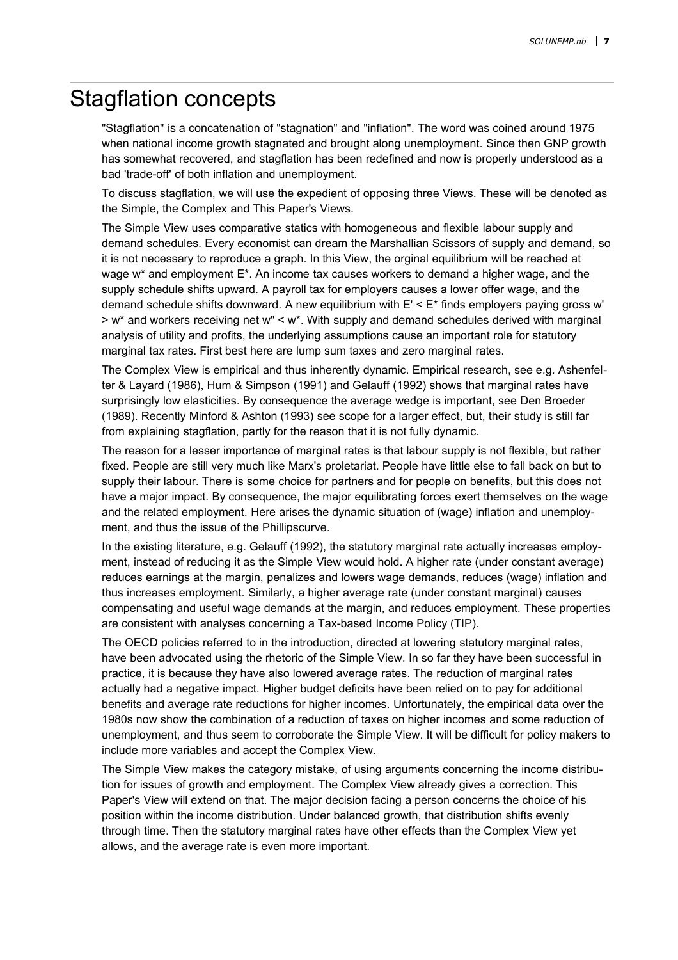#### Stagflation concepts

"Stagflation" is a concatenation of "stagnation" and "inflation". The word was coined around 1975 when national income growth stagnated and brought along unemployment. Since then GNP growth has somewhat recovered, and stagflation has been redefined and now is properly understood as a bad 'trade-off' of both inflation and unemployment.

To discuss stagflation, we will use the expedient of opposing three Views. These will be denoted as the Simple, the Complex and This Paper's Views.

The Simple View uses comparative statics with homogeneous and flexible labour supply and demand schedules. Every economist can dream the Marshallian Scissors of supply and demand, so it is not necessary to reproduce a graph. In this View, the orginal equilibrium will be reached at wage  $w^*$  and employment  $E^*$ . An income tax causes workers to demand a higher wage, and the supply schedule shifts upward. A payroll tax for employers causes a lower offer wage, and the demand schedule shifts downward. A new equilibrium with E' < E\* finds employers paying gross w' > w\* and workers receiving net w" < w\*. With supply and demand schedules derived with marginal analysis of utility and profits, the underlying assumptions cause an important role for statutory marginal tax rates. First best here are lump sum taxes and zero marginal rates.

The Complex View is empirical and thus inherently dynamic. Empirical research, see e.g. Ashenfelter & Layard (1986), Hum & Simpson (1991) and Gelauff (1992) shows that marginal rates have surprisingly low elasticities. By consequence the average wedge is important, see Den Broeder (1989). Recently Minford & Ashton (1993) see scope for a larger effect, but, their study is still far from explaining stagflation, partly for the reason that it is not fully dynamic.

The reason for a lesser importance of marginal rates is that labour supply is not flexible, but rather fixed. People are still very much like Marx's proletariat. People have little else to fall back on but to supply their labour. There is some choice for partners and for people on benefits, but this does not have a major impact. By consequence, the major equilibrating forces exert themselves on the wage and the related employment. Here arises the dynamic situation of (wage) inflation and unemployment, and thus the issue of the Phillipscurve.

In the existing literature, e.g. Gelauff (1992), the statutory marginal rate actually increases employment, instead of reducing it as the Simple View would hold. A higher rate (under constant average) reduces earnings at the margin, penalizes and lowers wage demands, reduces (wage) inflation and thus increases employment. Similarly, a higher average rate (under constant marginal) causes compensating and useful wage demands at the margin, and reduces employment. These properties are consistent with analyses concerning a Tax-based Income Policy (TIP).

The OECD policies referred to in the introduction, directed at lowering statutory marginal rates, have been advocated using the rhetoric of the Simple View. In so far they have been successful in practice, it is because they have also lowered average rates. The reduction of marginal rates actually had a negative impact. Higher budget deficits have been relied on to pay for additional benefits and average rate reductions for higher incomes. Unfortunately, the empirical data over the 1980s now show the combination of a reduction of taxes on higher incomes and some reduction of unemployment, and thus seem to corroborate the Simple View. It will be difficult for policy makers to include more variables and accept the Complex View.

The Simple View makes the category mistake, of using arguments concerning the income distribution for issues of growth and employment. The Complex View already gives a correction. This Paper's View will extend on that. The major decision facing a person concerns the choice of his position within the income distribution. Under balanced growth, that distribution shifts evenly through time. Then the statutory marginal rates have other effects than the Complex View yet allows, and the average rate is even more important.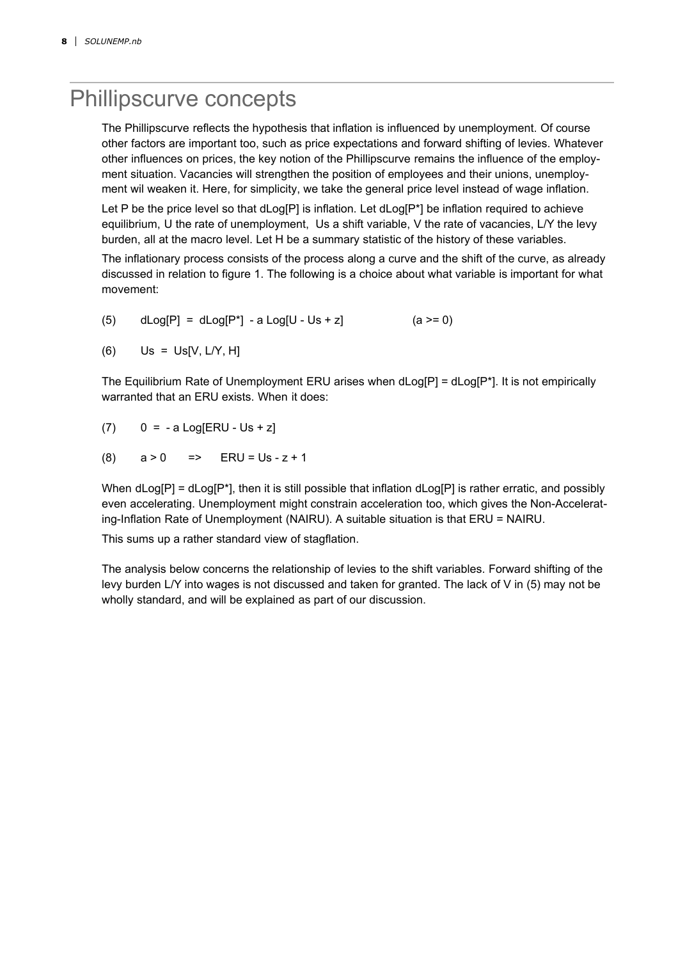### Phillipscurve concepts

The Phillipscurve reflects the hypothesis that inflation is influenced by unemployment. Of course other factors are important too, such as price expectations and forward shifting of levies. Whatever other influences on prices, the key notion of the Phillipscurve remains the influence of the employment situation. Vacancies will strengthen the position of employees and their unions, unemployment wil weaken it. Here, for simplicity, we take the general price level instead of wage inflation.

Let P be the price level so that dLog[P] is inflation. Let dLog[P\*] be inflation required to achieve equilibrium, U the rate of unemployment, Us a shift variable, V the rate of vacancies, L/Y the levy burden, all at the macro level. Let H be a summary statistic of the history of these variables.

The inflationary process consists of the process along a curve and the shift of the curve, as already discussed in relation to figure 1. The following is a choice about what variable is important for what movement:

(5) 
$$
dLog[P] = dLog[P^*] - a Log[U - Us + z]
$$
 (a  $> = 0$ )

 $(6)$  Us = Us[V, L/Y, H]

The Equilibrium Rate of Unemployment ERU arises when  $dLog[P] = dLog[P^*]$ . It is not empirically warranted that an ERU exists. When it does:

(7) 
$$
0 = -a \text{Log}[ERU - Us + z]
$$

(8) 
$$
a > 0
$$
  $\Rightarrow$  ERU = Us - z + 1

When dLog[P] = dLog[P\*], then it is still possible that inflation dLog[P] is rather erratic, and possibly even accelerating. Unemployment might constrain acceleration too, which gives the Non-Accelerating-Inflation Rate of Unemployment (NAIRU). A suitable situation is that ERU = NAIRU.

This sums up a rather standard view of stagflation.

The analysis below concerns the relationship of levies to the shift variables. Forward shifting of the levy burden L/Y into wages is not discussed and taken for granted. The lack of V in (5) may not be wholly standard, and will be explained as part of our discussion.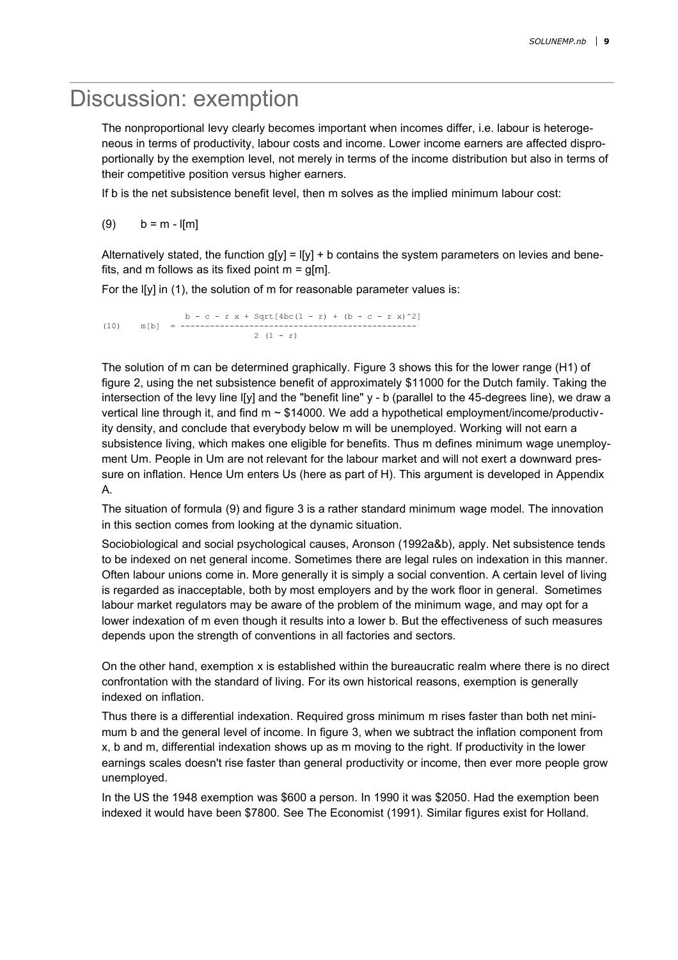#### Discussion: exemption

The nonproportional levy clearly becomes important when incomes differ, i.e. labour is heterogeneous in terms of productivity, labour costs and income. Lower income earners are affected disproportionally by the exemption level, not merely in terms of the income distribution but also in terms of their competitive position versus higher earners.

If b is the net subsistence benefit level, then m solves as the implied minimum labour cost:

(9)  $b = m - |[m]|$ 

Alternatively stated, the function  $q[y] = |[y] + b$  contains the system parameters on levies and benefits, and m follows as its fixed point  $m = q[m]$ .

For the l[y] in (1), the solution of m for reasonable parameter values is:

b - c - r x + Sqrt $[4bc(1 - r) + (b - c - r x)^{2}]$ (10) m[b] = ------------------------------------------------  $2(1 - r)$ 

The solution of m can be determined graphically. Figure 3 shows this for the lower range (H1) of figure 2, using the net subsistence benefit of approximately \$11000 for the Dutch family. Taking the intersection of the levy line l[y] and the "benefit line" y - b (parallel to the 45-degrees line), we draw a vertical line through it, and find  $m \sim $14000$ . We add a hypothetical employment/income/productivity density, and conclude that everybody below m will be unemployed. Working will not earn a subsistence living, which makes one eligible for benefits. Thus m defines minimum wage unemployment Um. People in Um are not relevant for the labour market and will not exert a downward pressure on inflation. Hence Um enters Us (here as part of H). This argument is developed in Appendix A.

The situation of formula (9) and figure 3 is a rather standard minimum wage model. The innovation in this section comes from looking at the dynamic situation.

Sociobiological and social psychological causes, Aronson (1992a&b), apply. Net subsistence tends to be indexed on net general income. Sometimes there are legal rules on indexation in this manner. Often labour unions come in. More generally it is simply a social convention. A certain level of living is regarded as inacceptable, both by most employers and by the work floor in general. Sometimes labour market regulators may be aware of the problem of the minimum wage, and may opt for a lower indexation of m even though it results into a lower b. But the effectiveness of such measures depends upon the strength of conventions in all factories and sectors.

On the other hand, exemption x is established within the bureaucratic realm where there is no direct confrontation with the standard of living. For its own historical reasons, exemption is generally indexed on inflation.

Thus there is a differential indexation. Required gross minimum m rises faster than both net minimum b and the general level of income. In figure 3, when we subtract the inflation component from x, b and m, differential indexation shows up as m moving to the right. If productivity in the lower earnings scales doesn't rise faster than general productivity or income, then ever more people grow unemployed.

In the US the 1948 exemption was \$600 a person. In 1990 it was \$2050. Had the exemption been indexed it would have been \$7800. See The Economist (1991). Similar figures exist for Holland.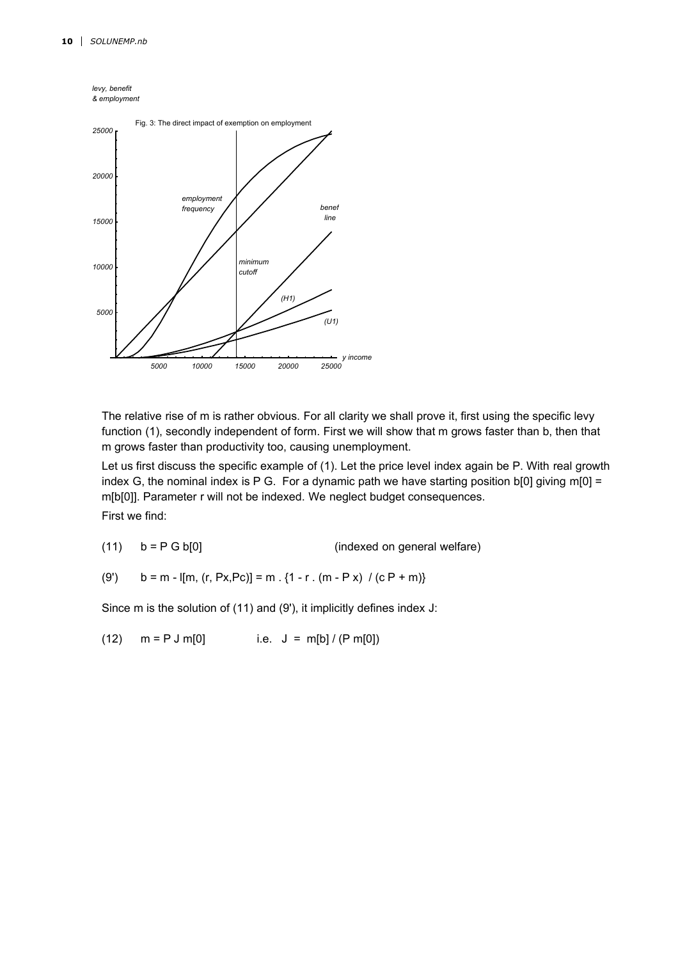



The relative rise of m is rather obvious. For all clarity we shall prove it, first using the specific levy function (1), secondly independent of form. First we will show that m grows faster than b, then that m grows faster than productivity too, causing unemployment.

Let us first discuss the specific example of (1). Let the price level index again be P. With real growth index G, the nominal index is P G. For a dynamic path we have starting position  $b[0]$  giving m[0] = m[b[0]]. Parameter r will not be indexed. We neglect budget consequences.

First we find:

$$
(11) \t b = P G b[0]
$$
 (indexed on general welfare)

(9') 
$$
b = m - [(m, (r, Px, Pc)] = m \cdot {1 - r \cdot (m - Px) / (cP + m)}
$$

Since m is the solution of (11) and (9'), it implicitly defines index J:

(12)  $m = P J m[0]$  i.e.  $J = m[b] / (P m[0])$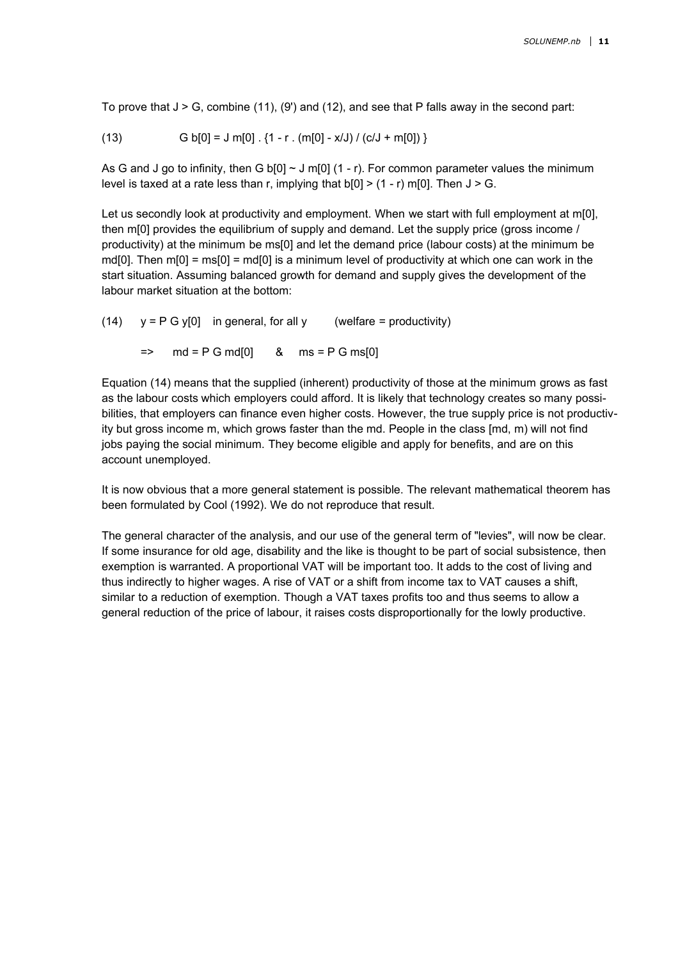To prove that  $J > G$ , combine (11), (9') and (12), and see that P falls away in the second part:

(13) 
$$
G b[0] = J m[0] \cdot \{1 - r \cdot (m[0] - x/J) / (c/J + m[0])\}
$$

As G and J go to infinity, then G b[0]  $\sim$  J m[0] (1 - r). For common parameter values the minimum level is taxed at a rate less than r, implying that  $b[0]$  > (1 - r) m[0]. Then  $J > G$ .

Let us secondly look at productivity and employment. When we start with full employment at m[0], then m[0] provides the equilibrium of supply and demand. Let the supply price (gross income / productivity) at the minimum be ms[0] and let the demand price (labour costs) at the minimum be md[0]. Then  $m[0] = ms[0] = md[0]$  is a minimum level of productivity at which one can work in the start situation. Assuming balanced growth for demand and supply gives the development of the labour market situation at the bottom:

(14)  $y = P G y[0]$  in general, for all y (welfare = productivity)  $=$  md = P G md[0] & ms = P G ms[0]

Equation (14) means that the supplied (inherent) productivity of those at the minimum grows as fast as the labour costs which employers could afford. It is likely that technology creates so many possibilities, that employers can finance even higher costs. However, the true supply price is not productivity but gross income m, which grows faster than the md. People in the class [md, m) will not find jobs paying the social minimum. They become eligible and apply for benefits, and are on this account unemployed.

It is now obvious that a more general statement is possible. The relevant mathematical theorem has been formulated by Cool (1992). We do not reproduce that result.

The general character of the analysis, and our use of the general term of "levies", will now be clear. If some insurance for old age, disability and the like is thought to be part of social subsistence, then exemption is warranted. A proportional VAT will be important too. It adds to the cost of living and thus indirectly to higher wages. A rise of VAT or a shift from income tax to VAT causes a shift, similar to a reduction of exemption. Though a VAT taxes profits too and thus seems to allow a general reduction of the price of labour, it raises costs disproportionally for the lowly productive.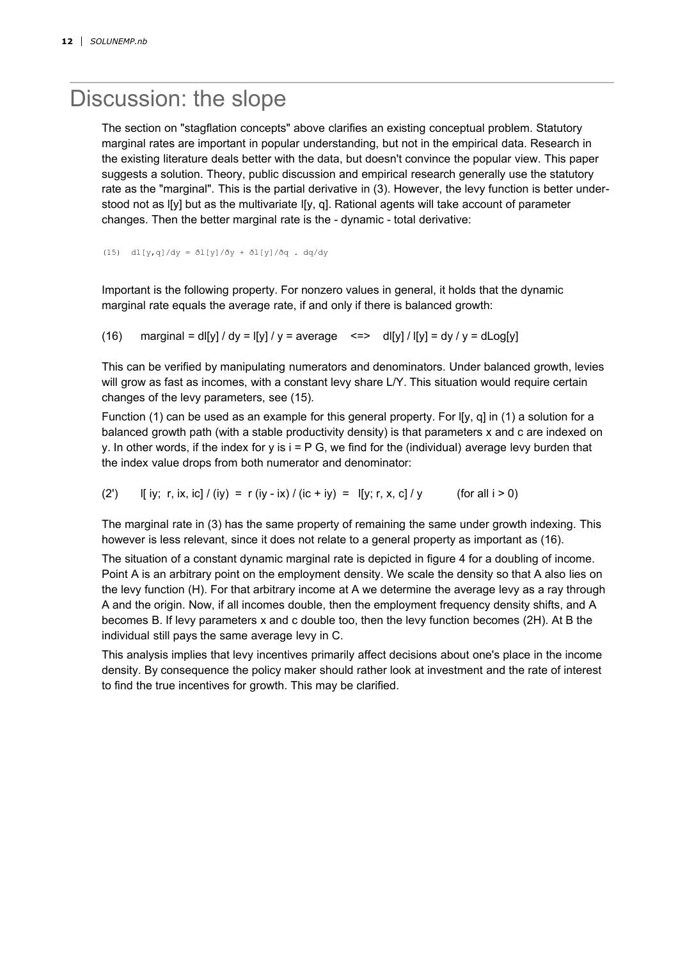### Discussion: the slope

The section on "stagflation concepts" above clarifies an existing conceptual problem. Statutory marginal rates are important in popular understanding, but not in the empirical data. Research in the existing literature deals better with the data, but doesn't convince the popular view. This paper suggests a solution. Theory, public discussion and empirical research generally use the statutory rate as the "marginal". This is the partial derivative in (3). However, the levy function is better understood not as l[y] but as the multivariate l[y, q]. Rational agents will take account of parameter changes. Then the better marginal rate is the - dynamic - total derivative:

(15) dl[y,q]/dy = ðl[y]/ðy + ðl[y]/ðq . dq/dy

Important is the following property. For nonzero values in general, it holds that the dynamic marginal rate equals the average rate, if and only if there is balanced growth:

(16) marginal = dl[y] / dy = l[y] / y = average  $\leq$   $\leq$  dl[y] / l[y] = dy / y = dLog[y]

This can be verified by manipulating numerators and denominators. Under balanced growth, levies will grow as fast as incomes, with a constant levy share L/Y. This situation would require certain changes of the levy parameters, see (15).

Function (1) can be used as an example for this general property. For I[y, q] in (1) a solution for a balanced growth path (with a stable productivity density) is that parameters x and c are indexed on y. In other words, if the index for y is  $i = P G$ , we find for the (individual) average levy burden that the index value drops from both numerator and denominator:

(2') If iy; r, ix, ic] / (iy) = r (iy - ix) / (ic + iy) = I[y; r, x, c] / y (for all i > 0)

The marginal rate in (3) has the same property of remaining the same under growth indexing. This however is less relevant, since it does not relate to a general property as important as (16).

The situation of a constant dynamic marginal rate is depicted in figure 4 for a doubling of income. Point A is an arbitrary point on the employment density. We scale the density so that A also lies on the levy function (H). For that arbitrary income at A we determine the average levy as a ray through A and the origin. Now, if all incomes double, then the employment frequency density shifts, and A becomes B. If levy parameters x and c double too, then the levy function becomes (2H). At B the individual still pays the same average levy in C.

This analysis implies that levy incentives primarily affect decisions about one's place in the income density. By consequence the policy maker should rather look at investment and the rate of interest to find the true incentives for growth. This may be clarified.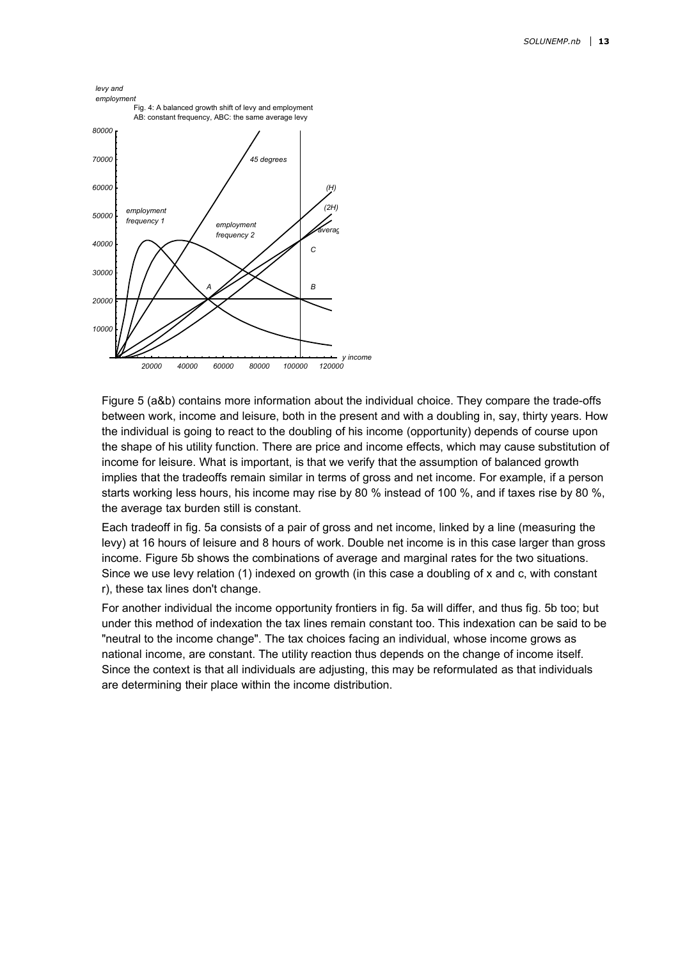

Figure 5 (a&b) contains more information about the individual choice. They compare the trade-offs between work, income and leisure, both in the present and with a doubling in, say, thirty years. How the individual is going to react to the doubling of his income (opportunity) depends of course upon the shape of his utility function. There are price and income effects, which may cause substitution of income for leisure. What is important, is that we verify that the assumption of balanced growth implies that the tradeoffs remain similar in terms of gross and net income. For example, if a person starts working less hours, his income may rise by 80 % instead of 100 %, and if taxes rise by 80 %, the average tax burden still is constant.

Each tradeoff in fig. 5a consists of a pair of gross and net income, linked by a line (measuring the levy) at 16 hours of leisure and 8 hours of work. Double net income is in this case larger than gross income. Figure 5b shows the combinations of average and marginal rates for the two situations. Since we use levy relation (1) indexed on growth (in this case a doubling of x and c, with constant r), these tax lines don't change.

For another individual the income opportunity frontiers in fig. 5a will differ, and thus fig. 5b too; but under this method of indexation the tax lines remain constant too. This indexation can be said to be "neutral to the income change". The tax choices facing an individual, whose income grows as national income, are constant. The utility reaction thus depends on the change of income itself. Since the context is that all individuals are adjusting, this may be reformulated as that individuals are determining their place within the income distribution.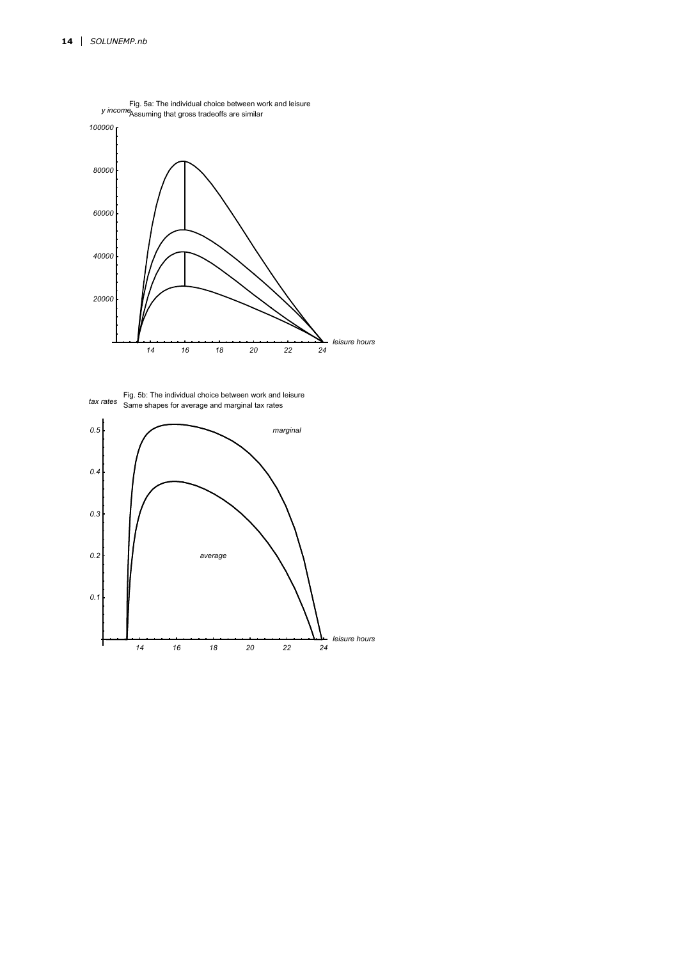

Same shapes for average and marginal tax rates Fig. 5b: The individual choice between work and leisure<br>tax rates same shapes for average and marginal tax rates

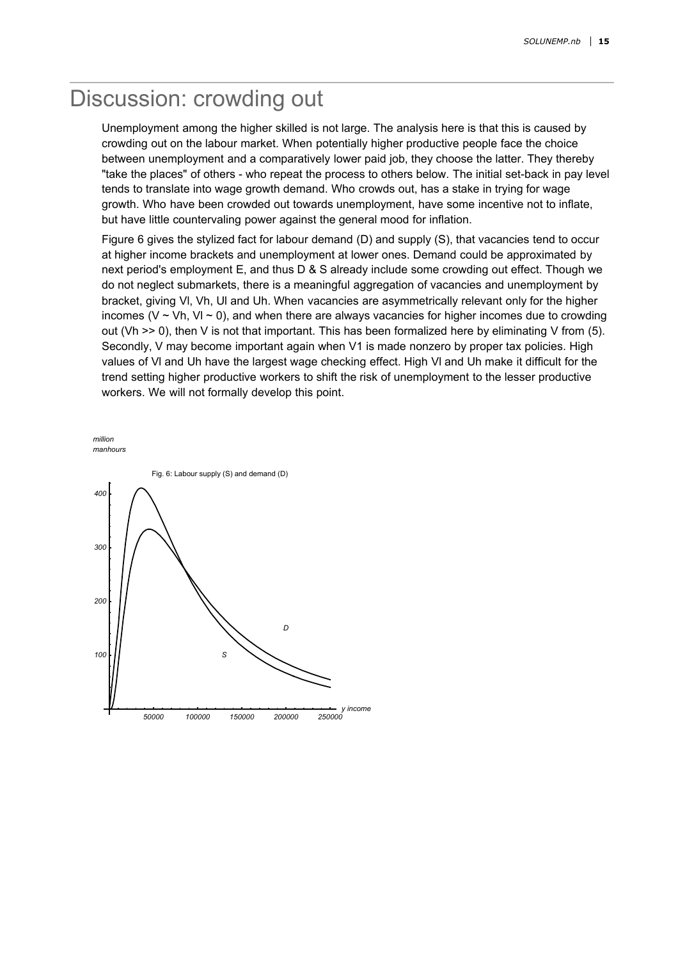### Discussion: crowding out

Unemployment among the higher skilled is not large. The analysis here is that this is caused by crowding out on the labour market. When potentially higher productive people face the choice between unemployment and a comparatively lower paid job, they choose the latter. They thereby "take the places" of others - who repeat the process to others below. The initial set-back in pay level tends to translate into wage growth demand. Who crowds out, has a stake in trying for wage growth. Who have been crowded out towards unemployment, have some incentive not to inflate, but have little countervaling power against the general mood for inflation.

Figure 6 gives the stylized fact for labour demand (D) and supply (S), that vacancies tend to occur at higher income brackets and unemployment at lower ones. Demand could be approximated by next period's employment E, and thus D & S already include some crowding out effect. Though we do not neglect submarkets, there is a meaningful aggregation of vacancies and unemployment by bracket, giving Vl, Vh, Ul and Uh. When vacancies are asymmetrically relevant only for the higher incomes (V  $\sim$  Vh, VI  $\sim$  0), and when there are always vacancies for higher incomes due to crowding out (Vh  $\geq$  0), then V is not that important. This has been formalized here by eliminating V from (5). Secondly, V may become important again when V1 is made nonzero by proper tax policies. High values of Vl and Uh have the largest wage checking effect. High Vl and Uh make it difficult for the trend setting higher productive workers to shift the risk of unemployment to the lesser productive workers. We will not formally develop this point.

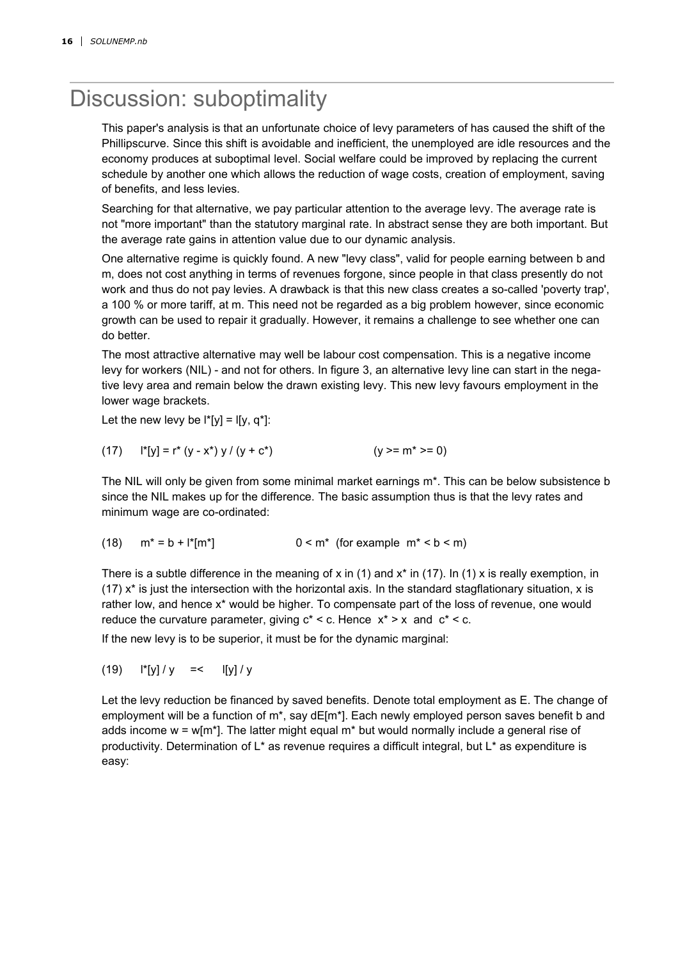### Discussion: suboptimality

This paper's analysis is that an unfortunate choice of levy parameters of has caused the shift of the Phillipscurve. Since this shift is avoidable and inefficient, the unemployed are idle resources and the economy produces at suboptimal level. Social welfare could be improved by replacing the current schedule by another one which allows the reduction of wage costs, creation of employment, saving of benefits, and less levies.

Searching for that alternative, we pay particular attention to the average levy. The average rate is not "more important" than the statutory marginal rate. In abstract sense they are both important. But the average rate gains in attention value due to our dynamic analysis.

One alternative regime is quickly found. A new "levy class", valid for people earning between b and m, does not cost anything in terms of revenues forgone, since people in that class presently do not work and thus do not pay levies. A drawback is that this new class creates a so-called 'poverty trap', a 100 % or more tariff, at m. This need not be regarded as a big problem however, since economic growth can be used to repair it gradually. However, it remains a challenge to see whether one can do better.

The most attractive alternative may well be labour cost compensation. This is a negative income levy for workers (NIL) - and not for others. In figure 3, an alternative levy line can start in the negative levy area and remain below the drawn existing levy. This new levy favours employment in the lower wage brackets.

Let the new levy be  $\mathbf{I}^*[\mathbf{y}] = \mathbf{I}[\mathbf{y}, \mathbf{q}^*]$ :

$$
(17) \t\t\t\t†[y] = r^*(y - x^*) y / (y + c^*) \t\t\t\t\t(y >= m^* >= 0)
$$

The NIL will only be given from some minimal market earnings m\*. This can be below subsistence b since the NIL makes up for the difference. The basic assumption thus is that the levy rates and minimum wage are co-ordinated:

$$
(18) \quad m^* = b + l^*[m^*] \qquad 0 < m^* \text{ (for example } m^* < b < m)
$$

There is a subtle difference in the meaning of x in (1) and  $x^*$  in (17). In (1) x is really exemption, in  $(17)$  x<sup>\*</sup> is just the intersection with the horizontal axis. In the standard stagflationary situation, x is rather low, and hence x\* would be higher. To compensate part of the loss of revenue, one would reduce the curvature parameter, giving  $c^* < c$ . Hence  $x^* > x$  and  $c^* < c$ .

If the new levy is to be superior, it must be for the dynamic marginal:

(19)  $\vert \cdot \vert y \vert / y$  =<  $\vert \vert y \vert / y$ 

Let the levy reduction be financed by saved benefits. Denote total employment as E. The change of employment will be a function of m<sup>\*</sup>, say dE[m<sup>\*</sup>]. Each newly employed person saves benefit b and adds income  $w = w[m^*]$ . The latter might equal  $m^*$  but would normally include a general rise of productivity. Determination of L\* as revenue requires a difficult integral, but L\* as expenditure is easy: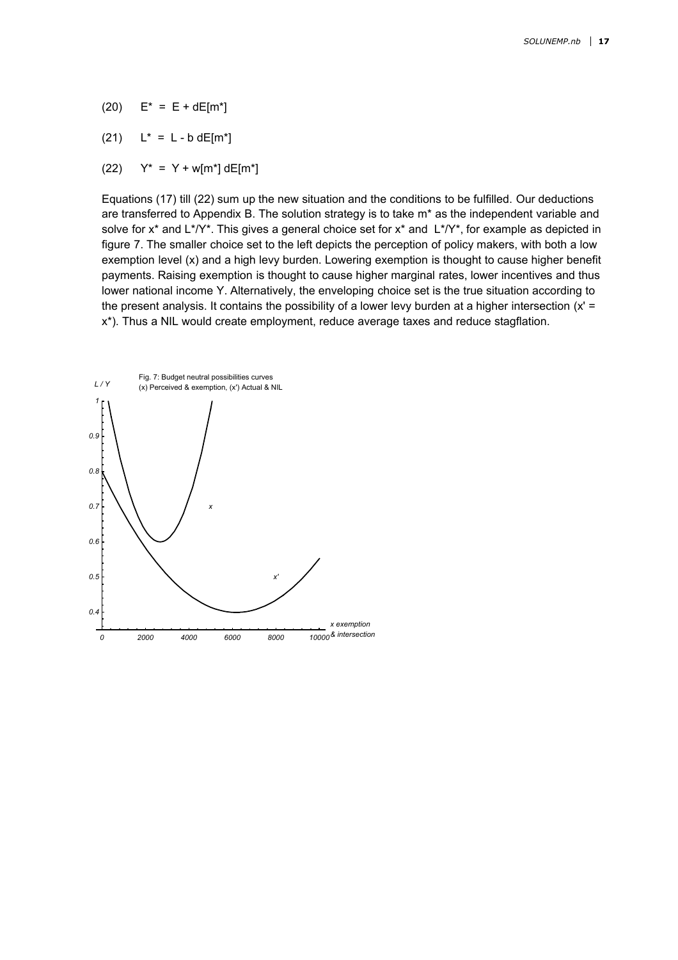- (20)  $E^* = E + dE[m^*]$
- (21)  $L^* = L b dE[m^*]$
- (22)  $Y^* = Y + w[m^*] dE[m^*]$

Equations (17) till (22) sum up the new situation and the conditions to be fulfilled. Our deductions are transferred to Appendix B. The solution strategy is to take m\* as the independent variable and solve for  $x^*$  and  $L^*/Y^*$ . This gives a general choice set for  $x^*$  and  $L^*/Y^*$ , for example as depicted in figure 7. The smaller choice set to the left depicts the perception of policy makers, with both a low exemption level (x) and a high levy burden. Lowering exemption is thought to cause higher benefit payments. Raising exemption is thought to cause higher marginal rates, lower incentives and thus lower national income Y. Alternatively, the enveloping choice set is the true situation according to the present analysis. It contains the possibility of a lower levy burden at a higher intersection  $(x)$  = x\*). Thus a NIL would create employment, reduce average taxes and reduce stagflation.

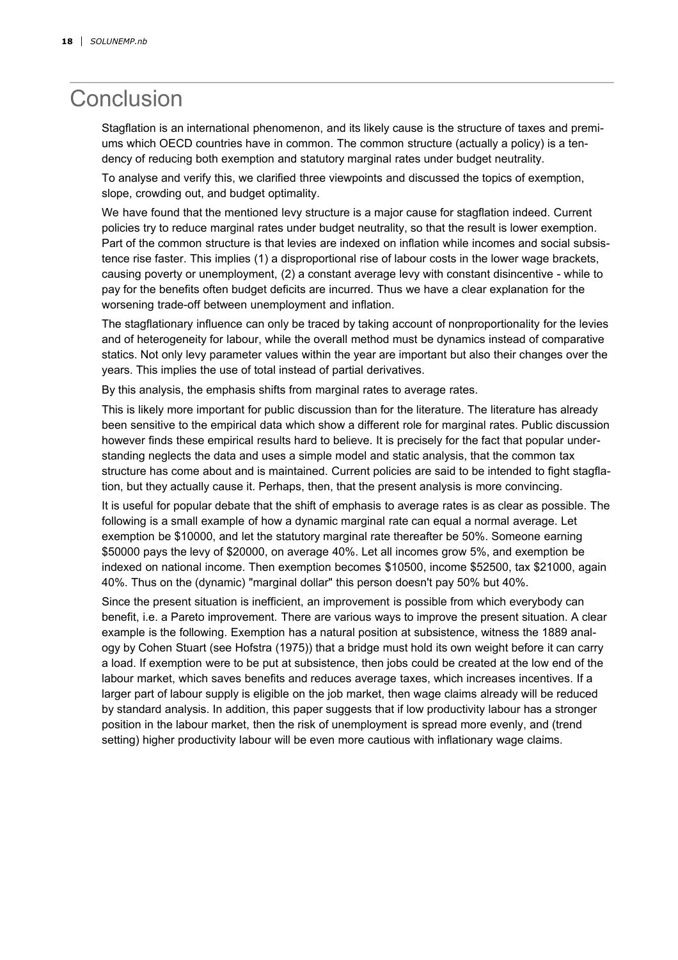## **Conclusion**

Stagflation is an international phenomenon, and its likely cause is the structure of taxes and premiums which OECD countries have in common. The common structure (actually a policy) is a tendency of reducing both exemption and statutory marginal rates under budget neutrality.

To analyse and verify this, we clarified three viewpoints and discussed the topics of exemption, slope, crowding out, and budget optimality.

We have found that the mentioned levy structure is a major cause for stagflation indeed. Current policies try to reduce marginal rates under budget neutrality, so that the result is lower exemption. Part of the common structure is that levies are indexed on inflation while incomes and social subsistence rise faster. This implies (1) a disproportional rise of labour costs in the lower wage brackets, causing poverty or unemployment, (2) a constant average levy with constant disincentive - while to pay for the benefits often budget deficits are incurred. Thus we have a clear explanation for the worsening trade-off between unemployment and inflation.

The stagflationary influence can only be traced by taking account of nonproportionality for the levies and of heterogeneity for labour, while the overall method must be dynamics instead of comparative statics. Not only levy parameter values within the year are important but also their changes over the years. This implies the use of total instead of partial derivatives.

By this analysis, the emphasis shifts from marginal rates to average rates.

This is likely more important for public discussion than for the literature. The literature has already been sensitive to the empirical data which show a different role for marginal rates. Public discussion however finds these empirical results hard to believe. It is precisely for the fact that popular understanding neglects the data and uses a simple model and static analysis, that the common tax structure has come about and is maintained. Current policies are said to be intended to fight stagflation, but they actually cause it. Perhaps, then, that the present analysis is more convincing.

It is useful for popular debate that the shift of emphasis to average rates is as clear as possible. The following is a small example of how a dynamic marginal rate can equal a normal average. Let exemption be \$10000, and let the statutory marginal rate thereafter be 50%. Someone earning \$50000 pays the levy of \$20000, on average 40%. Let all incomes grow 5%, and exemption be indexed on national income. Then exemption becomes \$10500, income \$52500, tax \$21000, again 40%. Thus on the (dynamic) "marginal dollar" this person doesn't pay 50% but 40%.

Since the present situation is inefficient, an improvement is possible from which everybody can benefit, i.e. a Pareto improvement. There are various ways to improve the present situation. A clear example is the following. Exemption has a natural position at subsistence, witness the 1889 analogy by Cohen Stuart (see Hofstra (1975)) that a bridge must hold its own weight before it can carry a load. If exemption were to be put at subsistence, then jobs could be created at the low end of the labour market, which saves benefits and reduces average taxes, which increases incentives. If a larger part of labour supply is eligible on the job market, then wage claims already will be reduced by standard analysis. In addition, this paper suggests that if low productivity labour has a stronger position in the labour market, then the risk of unemployment is spread more evenly, and (trend setting) higher productivity labour will be even more cautious with inflationary wage claims.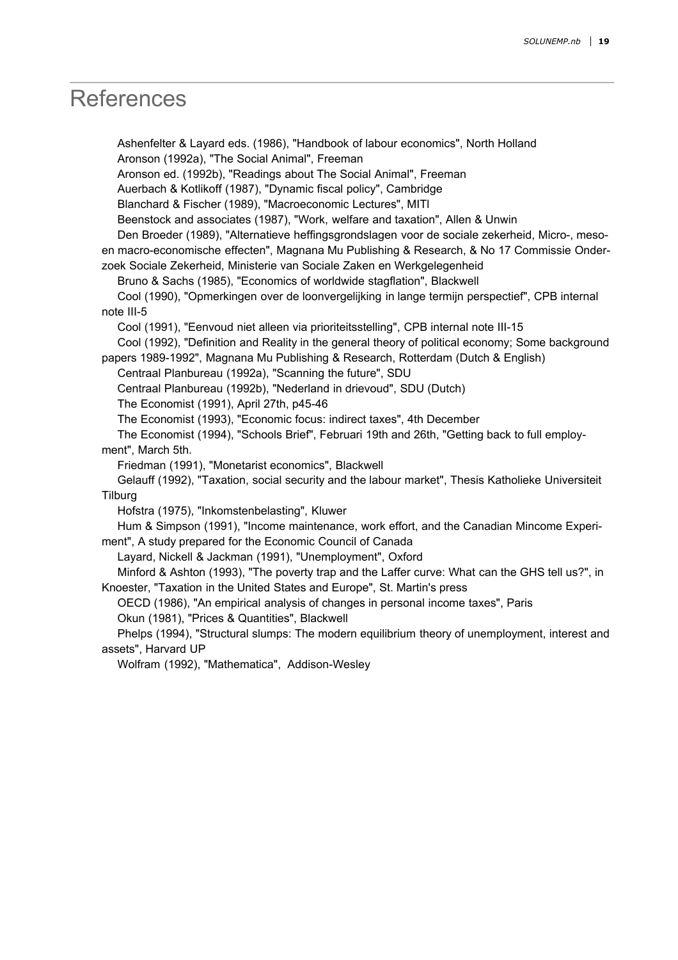### **References**

 Ashenfelter & Layard eds. (1986), "Handbook of labour economics", North Holland Aronson (1992a), "The Social Animal", Freeman

Aronson ed. (1992b), "Readings about The Social Animal", Freeman

Auerbach & Kotlikoff (1987), "Dynamic fiscal policy", Cambridge

Blanchard & Fischer (1989), "Macroeconomic Lectures", MITl

Beenstock and associates (1987), "Work, welfare and taxation", Allen & Unwin

 Den Broeder (1989), "Alternatieve heffingsgrondslagen voor de sociale zekerheid, Micro-, mesoen macro-economische effecten", Magnana Mu Publishing & Research, & No 17 Commissie Onder-

zoek Sociale Zekerheid, Ministerie van Sociale Zaken en Werkgelegenheid

Bruno & Sachs (1985), "Economics of worldwide stagflation", Blackwell

 Cool (1990), "Opmerkingen over de loonvergelijking in lange termijn perspectief", CPB internal note III-5

Cool (1991), "Eenvoud niet alleen via prioriteitsstelling", CPB internal note III-15

 Cool (1992), "Definition and Reality in the general theory of political economy; Some background papers 1989-1992", Magnana Mu Publishing & Research, Rotterdam (Dutch & English)

Centraal Planbureau (1992a), "Scanning the future", SDU

Centraal Planbureau (1992b), "Nederland in drievoud", SDU (Dutch)

The Economist (1991), April 27th, p45-46

The Economist (1993), "Economic focus: indirect taxes", 4th December

 The Economist (1994), "Schools Brief", Februari 19th and 26th, "Getting back to full employment", March 5th.

Friedman (1991), "Monetarist economics", Blackwell

 Gelauff (1992), "Taxation, social security and the labour market", Thesis Katholieke Universiteit **Tilburg** 

Hofstra (1975), "Inkomstenbelasting", Kluwer

 Hum & Simpson (1991), "Income maintenance, work effort, and the Canadian Mincome Experiment", A study prepared for the Economic Council of Canada

Layard, Nickell & Jackman (1991), "Unemployment", Oxford

 Minford & Ashton (1993), "The poverty trap and the Laffer curve: What can the GHS tell us?", in Knoester, "Taxation in the United States and Europe", St. Martin's press

OECD (1986), "An empirical analysis of changes in personal income taxes", Paris

Okun (1981), "Prices & Quantities", Blackwell

 Phelps (1994), "Structural slumps: The modern equilibrium theory of unemployment, interest and assets", Harvard UP

Wolfram (1992), "Mathematica", Addison-Wesley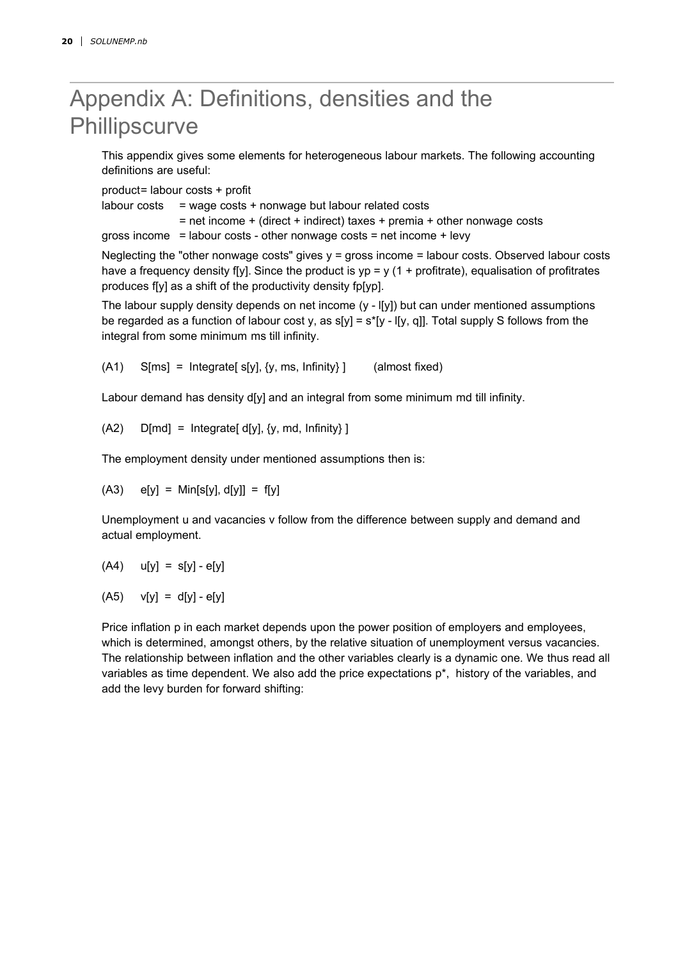# Appendix A: Definitions, densities and the **Phillipscurve**

This appendix gives some elements for heterogeneous labour markets. The following accounting definitions are useful:

product= labour costs + profit

labour costs  $=$  wage costs + nonwage but labour related costs

 $=$  net income  $+$  (direct  $+$  indirect) taxes  $+$  premia  $+$  other nonwage costs

gross income  $=$  labour costs - other nonwage costs  $=$  net income  $+$  levy

Neglecting the "other nonwage costs" gives  $y =$  gross income  $=$  labour costs. Observed labour costs have a frequency density f[y]. Since the product is  $yp = y$  (1 + profitrate), equalisation of profitrates produces f[y] as a shift of the productivity density fp[yp].

The labour supply density depends on net income (y - l[y]) but can under mentioned assumptions be regarded as a function of labour cost y, as  $s[y] = s^*[y \cdot 0]$ . Total supply S follows from the integral from some minimum ms till infinity.

 $(A1)$  S[ms] = Integrate[ s[y], {y, ms, Infinity} ] (almost fixed)

Labour demand has density d[y] and an integral from some minimum md till infinity.

 $(A2)$  D[md] = Integrate[d[y], {y, md, Infinity}]

The employment density under mentioned assumptions then is:

 $(A3)$  e[y] = Min[s[y], d[y]] = f[y]

Unemployment u and vacancies v follow from the difference between supply and demand and actual employment.

$$
(A4) \qquad u[y] = s[y] - e[y]
$$

 $(A5)$   $v[y] = d[y] - e[y]$ 

Price inflation p in each market depends upon the power position of employers and employees, which is determined, amongst others, by the relative situation of unemployment versus vacancies. The relationship between inflation and the other variables clearly is a dynamic one. We thus read all variables as time dependent. We also add the price expectations  $p^*$ , history of the variables, and add the levy burden for forward shifting: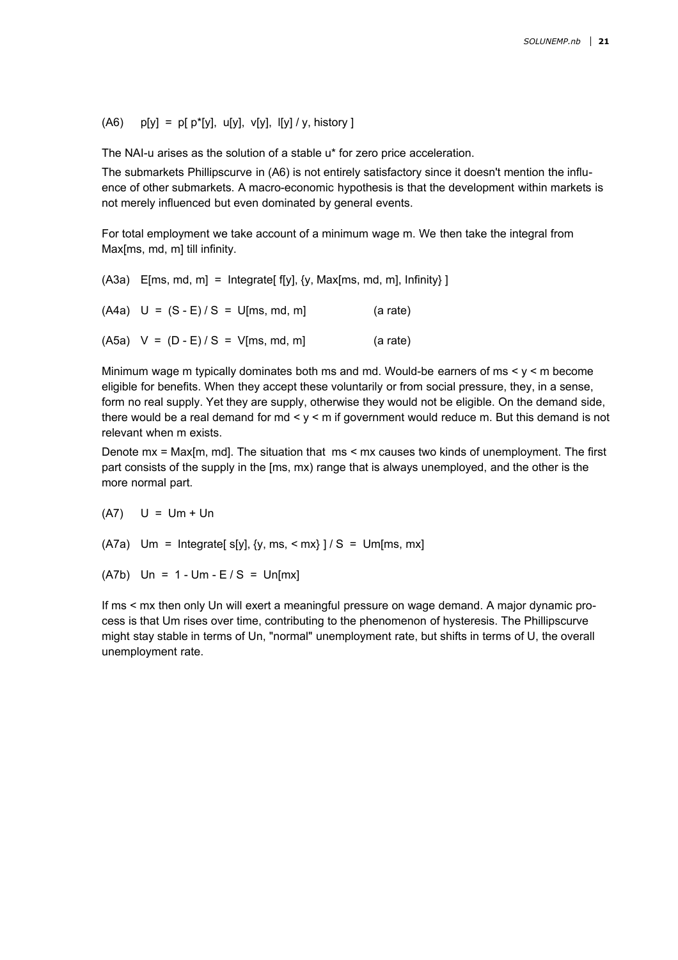#### (A6)  $p[y] = p[p^*[y], u[y], v[y], l[y]/y, history]$

The NAI-u arises as the solution of a stable u\* for zero price acceleration.

The submarkets Phillipscurve in (A6) is not entirely satisfactory since it doesn't mention the influence of other submarkets. A macro-economic hypothesis is that the development within markets is not merely influenced but even dominated by general events.

For total employment we take account of a minimum wage m. We then take the integral from Max[ms, md, m] till infinity.

 $(A3a)$  E[ms, md, m] = Integrate[f[y], {y, Max[ms, md, m], Infinity}]  $(A4a)$  U =  $(S - E)/S = U[ms, md, m]$  (a rate)  $(A5a)$  V =  $(D - E)/S = V$ [ms, md, m] (a rate)

Minimum wage m typically dominates both ms and md. Would-be earners of ms  $\leq$  y  $\leq$  m become eligible for benefits. When they accept these voluntarily or from social pressure, they, in a sense, form no real supply. Yet they are supply, otherwise they would not be eligible. On the demand side, there would be a real demand for  $md < y < m$  if government would reduce m. But this demand is not relevant when m exists.

Denote mx = Max[m, md]. The situation that ms < mx causes two kinds of unemployment. The first part consists of the supply in the [ms, mx) range that is always unemployed, and the other is the more normal part.

(A7) U = Um + Un

(A7a) Um = Integrate[ $s[y], \{y, ms, \leq mx\}$ ] / S = Um[ms, mx]

 $(A7b)$  Un = 1 - Um - E / S = Un[mx]

If ms < mx then only Un will exert a meaningful pressure on wage demand. A major dynamic process is that Um rises over time, contributing to the phenomenon of hysteresis. The Phillipscurve might stay stable in terms of Un, "normal" unemployment rate, but shifts in terms of U, the overall unemployment rate.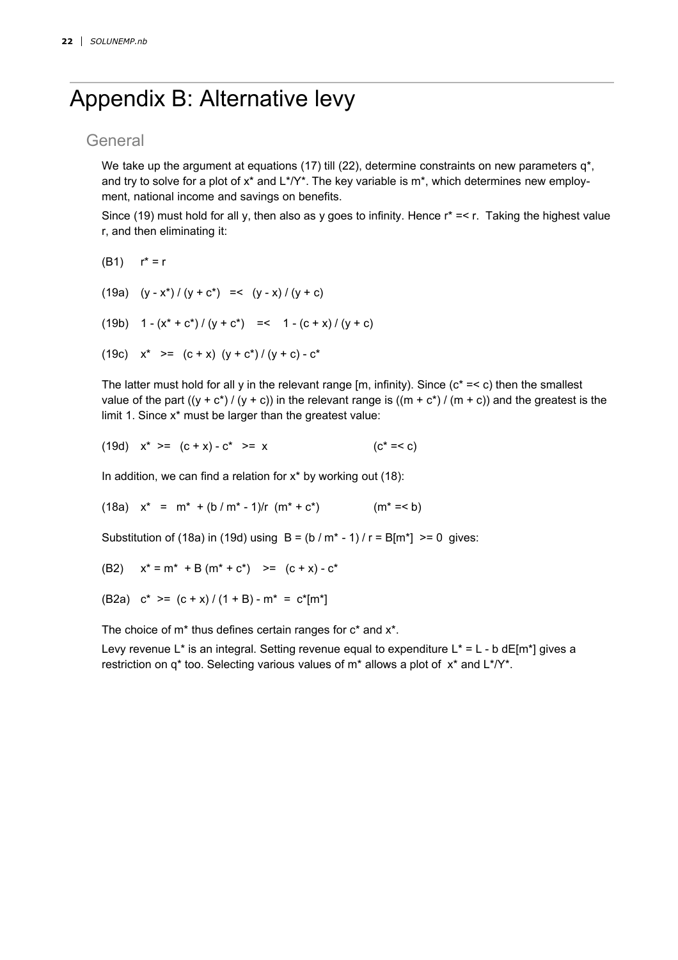# Appendix B: Alternative levy

#### General

We take up the argument at equations (17) till (22), determine constraints on new parameters  $q^*$ , and try to solve for a plot of  $x^*$  and  $L^*/Y^*$ . The key variable is  $m^*$ , which determines new employment, national income and savings on benefits.

Since (19) must hold for all y, then also as y goes to infinity. Hence  $r^* == r$ . Taking the highest value r, and then eliminating it:

- (B1)  $r^* = r$
- (19a)  $(y x^*) / (y + c^*) = (y x) / (y + c)$
- (19b)  $1 (x^* + c^*) / (y + c^*)$  =<  $1 (c + x) / (y + c)$
- (19c)  $x^*$  >=  $(c + x) (y + c^*) / (y + c) c^*$

The latter must hold for all y in the relevant range [m, infinity). Since ( $c^* = < c$ ) then the smallest value of the part  $((y + c^*) / (y + c))$  in the relevant range is  $((m + c^*) / (m + c))$  and the greatest is the limit 1. Since x\* must be larger than the greatest value:

(19d) 
$$
x^* \geq (c + x) - c^* \geq x
$$
  $(c^* = < c)$ 

In addition, we can find a relation for  $x^*$  by working out (18):

(18a)  $x^* = m^* + (b/m^* - 1)/r (m^* + c^*)$  (m<sup>\*</sup> = < b)

Substitution of (18a) in (19d) using  $B = (b/m^* - 1)/r = B/m^*$ ] >= 0 gives:

(B2) 
$$
x^* = m^* + B(m^* + c^*) \Rightarrow (c + x) - c^*
$$

(B2a)  $c^*$  >=  $(c + x)/(1 + B) - m^* = c^*[m^*]$ 

The choice of m\* thus defines certain ranges for c\* and x\*.

Levy revenue L<sup>\*</sup> is an integral. Setting revenue equal to expenditure L<sup>\*</sup> = L - b dE[m<sup>\*</sup>] gives a restriction on  $q^*$  too. Selecting various values of  $m^*$  allows a plot of  $x^*$  and  $L^*/Y^*$ .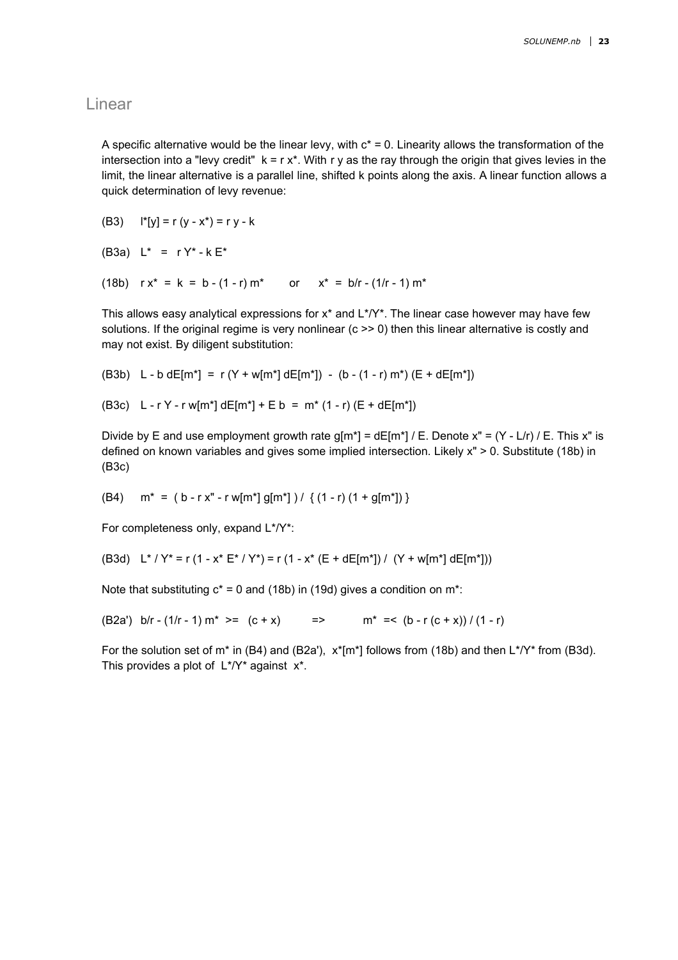#### Linear

A specific alternative would be the linear levy, with  $c^* = 0$ . Linearity allows the transformation of the intersection into a "levy credit"  $k = r x^*$ . With r y as the ray through the origin that gives levies in the limit, the linear alternative is a parallel line, shifted k points along the axis. A linear function allows a quick determination of levy revenue:

(B3)  $\mid$ \*[y] = r (y - x\*) = r y - k

(B3a)  $L^* = rY^* - kE^*$ 

(18b)  $rx^* = k = b - (1 - r) m^*$  or  $x^* = b/r - (1/r - 1) m^*$ 

This allows easy analytical expressions for  $x^*$  and  $L^*$ / $Y^*$ . The linear case however may have few solutions. If the original regime is very nonlinear (c  $\gg$  0) then this linear alternative is costly and may not exist. By diligent substitution:

(B3b) L - b dE[m<sup>\*</sup>] = r (Y + w[m<sup>\*</sup>] dE[m<sup>\*</sup>]) - (b - (1 - r) m<sup>\*</sup>) (E + dE[m<sup>\*</sup>])

(B3c) L - r Y - r w[m<sup>\*</sup>] dE[m<sup>\*</sup>] + E b = m<sup>\*</sup> (1 - r) (E + dE[m<sup>\*</sup>])

Divide by E and use employment growth rate  $g[m^*] = dE[m^*] / E$ . Denote x" =  $(Y - L/r) / E$ . This x" is defined on known variables and gives some implied intersection. Likely x" > 0. Substitute (18b) in (B3c)

(B4)  $m^* = (b - r x'' - r w[m^*] g[m^*]) / \{(1 - r) (1 + g[m^*])\}$ 

For completeness only, expand L\*/Y\*:

(B3d) L<sup>\*</sup> / Y<sup>\*</sup> = r (1 - x<sup>\*</sup> E<sup>\*</sup> / Y<sup>\*</sup>) = r (1 - x<sup>\*</sup> (E + dE[m<sup>\*</sup>]) / (Y + w[m<sup>\*</sup>] dE[m<sup>\*</sup>]))

Note that substituting  $c^* = 0$  and (18b) in (19d) gives a condition on m<sup>\*</sup>:

(B2a') b/r - (1/r - 1) m<sup>\*</sup> >= (c + x) => m<sup>\*</sup> =< (b - r (c + x)) / (1 - r)

For the solution set of m<sup>\*</sup> in (B4) and (B2a'),  $x^*[m^*]$  follows from (18b) and then  $L^*/Y^*$  from (B3d). This provides a plot of  $L^*$ / $Y^*$  against  $x^*$ .